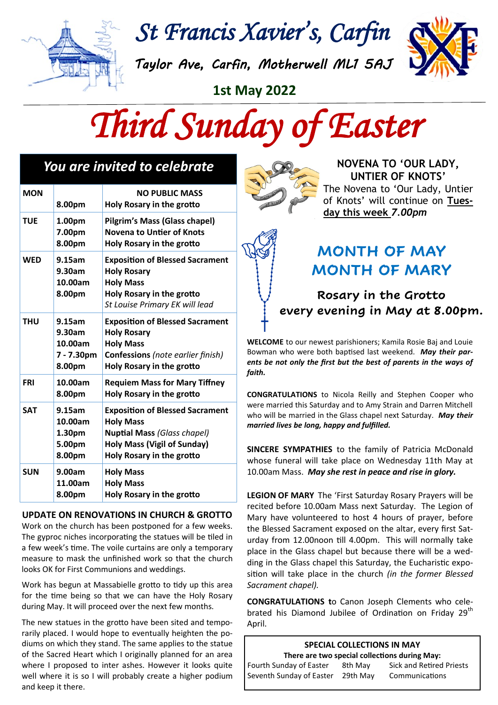

*St Francis Xavier's, Carfin* 

*Taylor Ave, Carfin, Motherwell ML1 5AJ* 



**1st May 2022**



| <b>You are invited to celebrate</b> |                                                     |                                                                                                                                                                     |  |  |
|-------------------------------------|-----------------------------------------------------|---------------------------------------------------------------------------------------------------------------------------------------------------------------------|--|--|
| <b>MON</b>                          | 8.00pm                                              | <b>NO PUBLIC MASS</b><br>Holy Rosary in the grotto                                                                                                                  |  |  |
| <b>TUE</b>                          | 1.00pm<br>7.00pm<br>8.00pm                          | Pilgrim's Mass (Glass chapel)<br><b>Novena to Untier of Knots</b><br><b>Holy Rosary in the grotto</b>                                                               |  |  |
| <b>WED</b>                          | 9.15am<br>9.30am<br>10.00am<br>8.00pm               | <b>Exposition of Blessed Sacrament</b><br><b>Holy Rosary</b><br><b>Holy Mass</b><br>Holy Rosary in the grotto<br>St Louise Primary EK will lead                     |  |  |
| <b>THU</b>                          | 9.15am<br>9.30am<br>10.00am<br>7 - 7.30pm<br>8.00pm | <b>Exposition of Blessed Sacrament</b><br><b>Holy Rosary</b><br><b>Holy Mass</b><br><b>Confessions</b> (note earlier finish)<br>Holy Rosary in the grotto           |  |  |
| <b>FRI</b>                          | 10.00am<br>8.00pm                                   | <b>Requiem Mass for Mary Tiffney</b><br><b>Holy Rosary in the grotto</b>                                                                                            |  |  |
| <b>SAT</b>                          | 9.15am<br>10.00am<br>1.30pm<br>5.00pm<br>8.00pm     | <b>Exposition of Blessed Sacrament</b><br><b>Holy Mass</b><br><b>Nuptial Mass (Glass chapel)</b><br><b>Holy Mass (Vigil of Sunday)</b><br>Holy Rosary in the grotto |  |  |
| <b>SUN</b>                          | 9.00am<br>11.00am<br>8.00pm                         | <b>Holy Mass</b><br><b>Holy Mass</b><br>Holy Rosary in the grotto                                                                                                   |  |  |

#### **UPDATE ON RENOVATIONS IN CHURCH & GROTTO**

Work on the church has been postponed for a few weeks. The gyproc niches incorporating the statues will be tiled in a few week's time. The voile curtains are only a temporary measure to mask the unfinished work so that the church looks OK for First Communions and weddings.

Work has begun at Massabielle grotto to tidy up this area for the time being so that we can have the Holy Rosary during May. It will proceed over the next few months.

The new statues in the grotto have been sited and temporarily placed. I would hope to eventually heighten the podiums on which they stand. The same applies to the statue of the Sacred Heart which I originally planned for an area where I proposed to inter ashes. However it looks quite well where it is so I will probably create a higher podium and keep it there.



**NOVENA TO 'OUR LADY, UNTIER OF KNOTS'**  The Novena to 'Our Lady, Untier of Knots' will continue on **Tuesday this week** *7.00pm*

# **MONTH OF MAY MONTH OF MARY**

## **Rosary in the Grotto every evening in May at 8.00pm.**

**WELCOME** to our newest parishioners; Kamila Rosie Baj and Louie Bowman who were both baptised last weekend. *May their parents be not only the first but the best of parents in the ways of faith.*

**CONGRATULATIONS** to Nicola Reilly and Stephen Cooper who were married this Saturday and to Amy Strain and Darren Mitchell who will be married in the Glass chapel next Saturday. *May their married lives be long, happy and fulfilled.*

**SINCERE SYMPATHIES** to the family of Patricia McDonald whose funeral will take place on Wednesday 11th May at 10.00am Mass. *May she rest in peace and rise in glory.*

**LEGION OF MARY** The 'First Saturday Rosary Prayers will be recited before 10.00am Mass next Saturday. The Legion of Mary have volunteered to host 4 hours of prayer, before the Blessed Sacrament exposed on the altar, every first Saturday from 12.00noon till 4.00pm. This will normally take place in the Glass chapel but because there will be a wedding in the Glass chapel this Saturday, the Eucharistic exposition will take place in the church *(in the former Blessed Sacrament chapel).*

**CONGRATULATIONS t**o Canon Joseph Clements who celebrated his Diamond Jubilee of Ordination on Friday 29<sup>th</sup> April.

|                                   | SPECIAL COLLECTIONS IN MAY |                                               |
|-----------------------------------|----------------------------|-----------------------------------------------|
|                                   |                            | There are two special collections during May: |
| Fourth Sunday of Easter           | 8th May                    | <b>Sick and Retired Priests</b>               |
| Seventh Sunday of Easter 29th May |                            | Communications                                |
|                                   |                            |                                               |